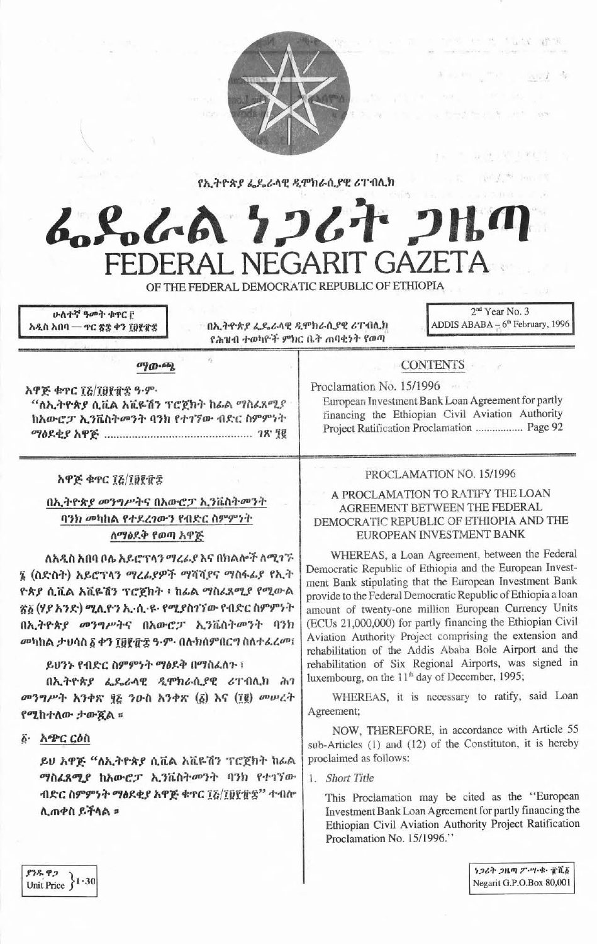

የኢትዮጵያ ፌዴራላዊ ዲሞክራሲያዊ ሪፐብሊክ

# んとんね ランムナ つは FEDERAL NEGARIT GAZETA

OF THE FEDERAL DEMOCRATIC REPUBLIC OF ETHIOPIA

ሁለተኛ ዓመት ቁዋር ቦ አዲስ አበባ — ተር ጽ፰ ቀን ፲፱፻፹፰

በኢትዮጵያ ፌዴራላዊ ዲሞክራሲያዊ ሪፐብሊክ የሕዝብ ተወካዮች ምክር ቤት ጠባቂነት የወጣ

2<sup>nd</sup> Year No. 3 ADDIS ABABA  $-6<sup>th</sup>$  February, 1996

大学の おし (6) を見る場合

 $-800 -$ 

#### ுற-ஆ

W

አዋጅ ቁጥር ፲፩/፲፱፻፹፰ ዓ.ም. "ለኢትዮጵያ ሲቪል አቪዬሽን ፕሮጀክት ከፌል ማስፈጸሚያ ከአውሮፓ ኢንቬስትመንት ባንክ የተገኘው ብድር ስምምነት 

#### አዋጅ ቁጥር ፲፩/፲፱፻፹፰

# በኢትዮጵያ መንግሥትና በአውሮፓ ኢንቬስትመንት ባንክ መካከል የተደረገውን የብድር ስምምነት ለማፅደቅ የወጣ አዋጅ

ለአዲስ አበባ ቦሌ አይሮፕላን ማረፊያ እና በክልሎች ለሚገኙ ፮ (ስድስት) አይሮፕላን ማረፊያዎች ማሻሻያና ማስፋፊያ የኢት ዮጵያ ሲቪል አቪዬሽን ፕሮጀክት ፣ ከፊል ማስፊጸሚያ የሚውል ፳፩ (ሃያ አንድ) ሚሊዮን ኢ-ሲ-ዩ- የሚያስገኘው የብድር ስምምነት በኢትዮጵያ መንግሥትና በአውሮፓ ኢንቬስትመንት ባንክ መካከል ታህሳስ ፩ ቀን ፲፱፻፹፰ ዓ·ም· በሉክስምበርግ ስለተፈረመ፤

#### ይህንኑ የብድር ስምምነት ማፅደቅ በማስፌስጉ ፣

በኢትዮጵያ ፌዴራሳዊ ዲሞክራሲያዊ ሪፐብሊክ ሕገ መንግሥት አንቀጽ ፶፩ ንዑስ አንቀጽ (፩) እና (፲፪) መሠረት የሚከተለው ታውጇል ፡፡

፩· አጭር ርዕስ

ይሀ አዋጅ "ለኢትዮጵያ ሲቪል አቪዬሽን ፕሮጀክት ከፊል ማስፈጸሚያ ከአውሮፓ ኢንቬስትመንት ባንክ የተገኘው ብድር ስምምንት ማፅደቂያ አዋጅ ቁጥር ፲፩/፲፱፻፹፰'' ተብሎ ሲጠቀስ ይችላል ።

### **CONTENTS**

Proclamation No. 15/1996 European Investment Bank Loan Agreement for partly financing the Ethiopian Civil Aviation Authority Project Ratification Proclamation ................. Page 92

## PROCLAMATION NO. 15/1996

#### A PROCLAMATION TO RATIFY THE LOAN AGREEMENT BETWEEN THE FEDERAL DEMOCRATIC REPUBLIC OF ETHIOPIA AND THE EUROPEAN INVESTMENT BANK

WHEREAS, a Loan Agreement, between the Federal Democratic Republic of Ethiopia and the European Investment Bank stipulating that the European Investment Bank provide to the Federal Democratic Republic of Ethiopia a loan amount of twenty-one million European Currency Units (ECUs 21,000,000) for partly financing the Ethiopian Civil Aviation Authority Project comprising the extension and rehabilitation of the Addis Ababa Bole Airport and the rehabilitation of Six Regional Airports, was signed in luxembourg, on the  $11<sup>th</sup>$  day of December, 1995;

WHEREAS, it is necessary to ratify, said Loan Agreement;

NOW, THEREFORE, in accordance with Article 55 sub-Articles (1) and (12) of the Constituton, it is hereby proclaimed as follows:

1. Short Title

This Proclamation may be cited as the "European Investment Bank Loan Agreement for partly financing the Ethiopian Civil Aviation Authority Project Ratification Proclamation No. 15/1996."

ነጋሪት ጋዜጣ ፖ-ሣ-ቁ- ፹ሺ፩ Negarit G.P.O.Box 80,001